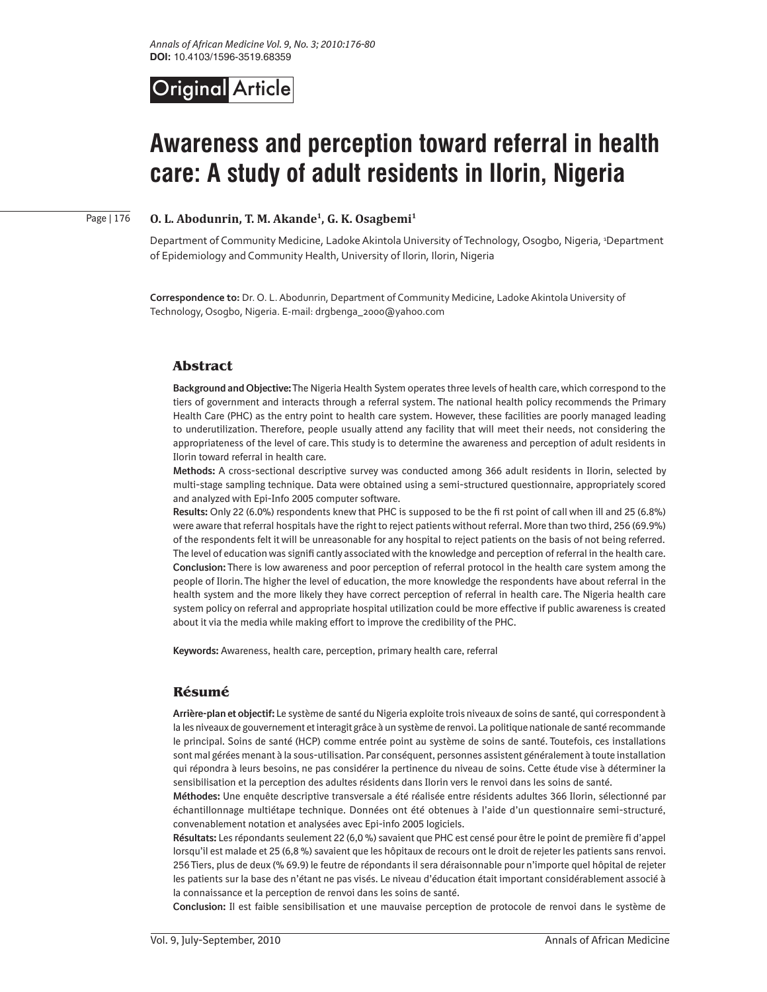

# **Awareness and perception toward referral in health care: A study of adult residents in Ilorin, Nigeria**

#### Page | 176 **O. L. Abodunrin, T. M. Akande1, G. K. Osagbemi1**

Department of Community Medicine, Ladoke Akintola University of Technology, Osogbo, Nigeria, 1 Department of Epidemiology and Community Health, University of Ilorin, Ilorin, Nigeria

**Correspondence to:** Dr. O. L. Abodunrin, Department of Community Medicine, Ladoke Akintola University of Technology, Osogbo, Nigeria. E-mail: drgbenga\_2000@yahoo.com

## **Abstract**

**Background and Objective:** The Nigeria Health System operates three levels of health care, which correspond to the tiers of government and interacts through a referral system. The national health policy recommends the Primary Health Care (PHC) as the entry point to health care system. However, these facilities are poorly managed leading to underutilization. Therefore, people usually attend any facility that will meet their needs, not considering the appropriateness of the level of care. This study is to determine the awareness and perception of adult residents in Ilorin toward referral in health care.

**Methods:** A cross-sectional descriptive survey was conducted among 366 adult residents in Ilorin, selected by multi-stage sampling technique. Data were obtained using a semi-structured questionnaire, appropriately scored and analyzed with Epi-Info 2005 computer software.

**Results:** Only 22 (6.0%) respondents knew that PHC is supposed to be the fi rst point of call when ill and 25 (6.8%) were aware that referral hospitals have the right to reject patients without referral. More than two third, 256 (69.9%) of the respondents felt it will be unreasonable for any hospital to reject patients on the basis of not being referred. The level of education was signifi cantly associated with the knowledge and perception of referral in the health care. **Conclusion:** There is low awareness and poor perception of referral protocol in the health care system among the people of Ilorin. The higher the level of education, the more knowledge the respondents have about referral in the health system and the more likely they have correct perception of referral in health care. The Nigeria health care system policy on referral and appropriate hospital utilization could be more effective if public awareness is created about it via the media while making effort to improve the credibility of the PHC.

**Keywords:** Awareness, health care, perception, primary health care, referral

## **Résumé**

**Arrière-plan et objectif:** Le système de santé du Nigeria exploite trois niveaux de soins de santé, qui correspondent à la les niveaux de gouvernement et interagit grâce à un système de renvoi. La politique nationale de santé recommande le principal. Soins de santé (HCP) comme entrée point au système de soins de santé. Toutefois, ces installations sont mal gérées menant à la sous-utilisation. Par conséquent, personnes assistent généralement à toute installation qui répondra à leurs besoins, ne pas considérer la pertinence du niveau de soins. Cette étude vise à déterminer la sensibilisation et la perception des adultes résidents dans Ilorin vers le renvoi dans les soins de santé.

**Méthodes:** Une enquête descriptive transversale a été réalisée entre résidents adultes 366 Ilorin, sélectionné par échantillonnage multiétape technique. Données ont été obtenues à l'aide d'un questionnaire semi-structuré, convenablement notation et analysées avec Epi-info 2005 logiciels.

**Résultats:** Les répondants seulement 22 (6,0 %) savaient que PHC est censé pour être le point de première fi d'appel lorsqu'il est malade et 25 (6,8 %) savaient que les hôpitaux de recours ont le droit de rejeter les patients sans renvoi. 256 Tiers, plus de deux (% 69.9) le feutre de répondants il sera déraisonnable pour n'importe quel hôpital de rejeter les patients sur la base des n'étant ne pas visés. Le niveau d'éducation était important considérablement associé à la connaissance et la perception de renvoi dans les soins de santé.

**Conclusion:** Il est faible sensibilisation et une mauvaise perception de protocole de renvoi dans le système de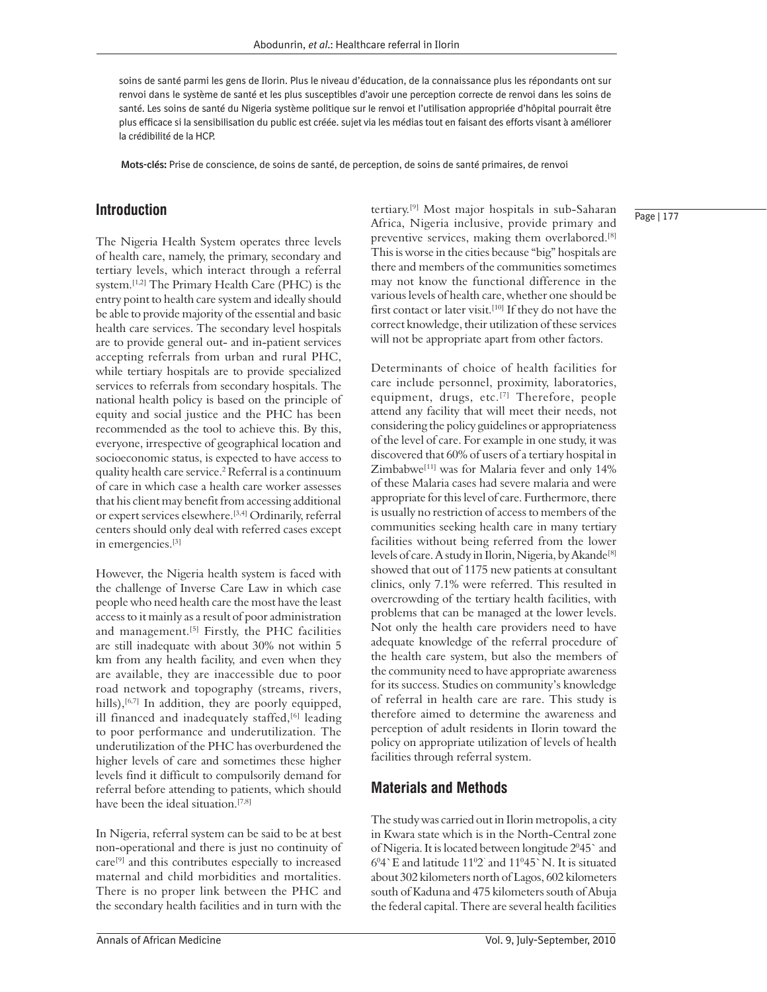soins de santé parmi les gens de Ilorin. Plus le niveau d'éducation, de la connaissance plus les répondants ont sur renvoi dans le système de santé et les plus susceptibles d'avoir une perception correcte de renvoi dans les soins de santé. Les soins de santé du Nigeria système politique sur le renvoi et l'utilisation appropriée d'hôpital pourrait être plus efficace si la sensibilisation du public est créée. sujet via les médias tout en faisant des efforts visant à améliorer la crédibilité de la HCP.

**Mots-clés:** Prise de conscience, de soins de santé, de perception, de soins de santé primaires, de renvoi

# **Introduction**

The Nigeria Health System operates three levels of health care, namely, the primary, secondary and tertiary levels, which interact through a referral system.[1,2] The Primary Health Care (PHC) is the entry point to health care system and ideally should be able to provide majority of the essential and basic health care services. The secondary level hospitals are to provide general out- and in-patient services accepting referrals from urban and rural PHC, while tertiary hospitals are to provide specialized services to referrals from secondary hospitals. The national health policy is based on the principle of equity and social justice and the PHC has been recommended as the tool to achieve this. By this, everyone, irrespective of geographical location and socioeconomic status, is expected to have access to quality health care service.2 Referral is a continuum of care in which case a health care worker assesses that his client may benefit from accessing additional or expert services elsewhere.[3,4] Ordinarily, referral centers should only deal with referred cases except in emergencies.[3]

However, the Nigeria health system is faced with the challenge of Inverse Care Law in which case people who need health care the most have the least access to it mainly as a result of poor administration and management.[5] Firstly, the PHC facilities are still inadequate with about 30% not within 5 km from any health facility, and even when they are available, they are inaccessible due to poor road network and topography (streams, rivers, hills),<sup>[6,7]</sup> In addition, they are poorly equipped, ill financed and inadequately staffed,<sup>[6]</sup> leading to poor performance and underutilization. The underutilization of the PHC has overburdened the higher levels of care and sometimes these higher levels find it difficult to compulsorily demand for referral before attending to patients, which should have been the ideal situation.<sup>[7,8]</sup>

In Nigeria, referral system can be said to be at best non-operational and there is just no continuity of care[9] and this contributes especially to increased maternal and child morbidities and mortalities. There is no proper link between the PHC and the secondary health facilities and in turn with the

tertiary.[9] Most major hospitals in sub-Saharan Africa, Nigeria inclusive, provide primary and preventive services, making them overlabored.<sup>[8]</sup> This is worse in the cities because "big" hospitals are there and members of the communities sometimes may not know the functional difference in the various levels of health care, whether one should be first contact or later visit.<sup>[10]</sup> If they do not have the correct knowledge, their utilization of these services will not be appropriate apart from other factors.

Determinants of choice of health facilities for care include personnel, proximity, laboratories, equipment, drugs, etc.<sup>[7]</sup> Therefore, people attend any facility that will meet their needs, not considering the policy guidelines or appropriateness of the level of care. For example in one study, it was discovered that 60% of users of a tertiary hospital in Zimbabwe<sup>[11]</sup> was for Malaria fever and only  $14\%$ of these Malaria cases had severe malaria and were appropriate for this level of care. Furthermore, there is usually no restriction of access to members of the communities seeking health care in many tertiary facilities without being referred from the lower levels of care. A study in Ilorin, Nigeria, by Akande<sup>[8]</sup> showed that out of 1175 new patients at consultant clinics, only 7.1% were referred. This resulted in overcrowding of the tertiary health facilities, with problems that can be managed at the lower levels. Not only the health care providers need to have adequate knowledge of the referral procedure of the health care system, but also the members of the community need to have appropriate awareness for its success. Studies on community's knowledge of referral in health care are rare. This study is therefore aimed to determine the awareness and perception of adult residents in Ilorin toward the policy on appropriate utilization of levels of health facilities through referral system.

# **Materials and Methods**

The study was carried out in Ilorin metropolis, a city in Kwara state which is in the North-Central zone of Nigeria. It is located between longitude 20 45` and  $6^0$ 4`E and latitude  $11^0$ 2` and  $11^0$ 45`N. It is situated about 302 kilometers north of Lagos, 602 kilometers south of Kaduna and 475 kilometers south of Abuja the federal capital. There are several health facilities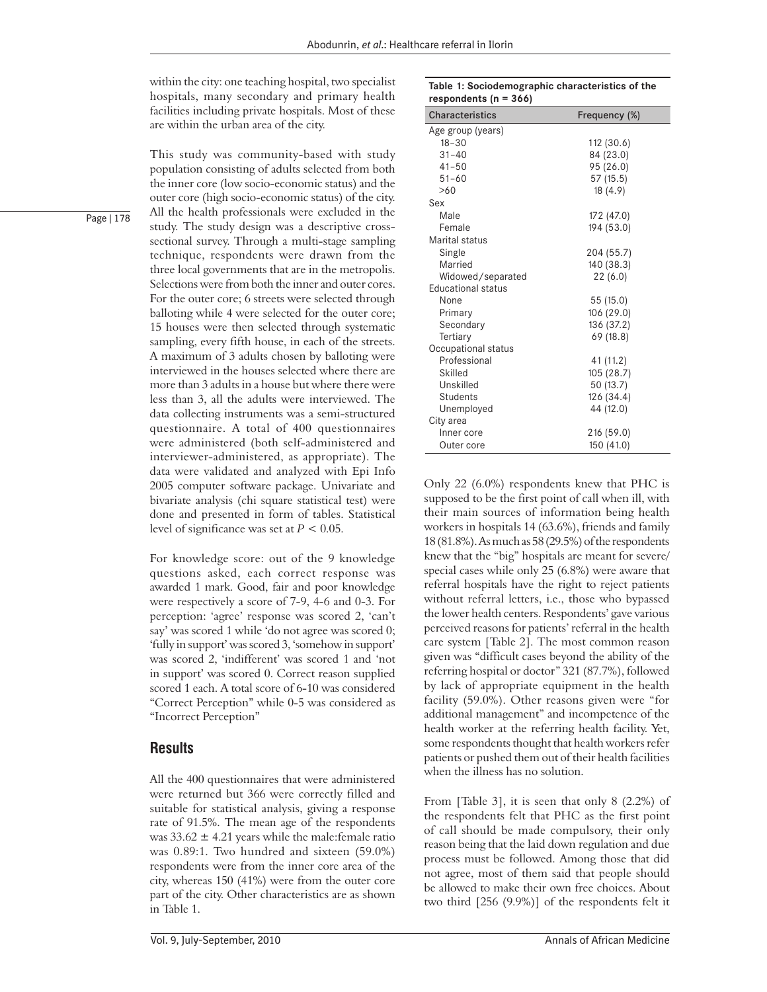within the city: one teaching hospital, two specialist hospitals, many secondary and primary health facilities including private hospitals. Most of these are within the urban area of the city.

This study was community-based with study population consisting of adults selected from both the inner core (low socio-economic status) and the outer core (high socio-economic status) of the city. All the health professionals were excluded in the study. The study design was a descriptive crosssectional survey. Through a multi-stage sampling technique, respondents were drawn from the three local governments that are in the metropolis. Selections were from both the inner and outer cores. For the outer core; 6 streets were selected through balloting while 4 were selected for the outer core; 15 houses were then selected through systematic sampling, every fifth house, in each of the streets. A maximum of 3 adults chosen by balloting were interviewed in the houses selected where there are more than 3 adults in a house but where there were less than 3, all the adults were interviewed. The data collecting instruments was a semi-structured questionnaire. A total of 400 questionnaires were administered (both self-administered and interviewer-administered, as appropriate). The data were validated and analyzed with Epi Info 2005 computer software package. Univariate and bivariate analysis (chi square statistical test) were done and presented in form of tables. Statistical level of significance was set at *P* < 0.05.

For knowledge score: out of the 9 knowledge questions asked, each correct response was awarded 1 mark. Good, fair and poor knowledge were respectively a score of 7-9, 4-6 and 0-3. For perception: 'agree' response was scored 2, 'can't say' was scored 1 while 'do not agree was scored 0; 'fully in support' was scored 3, 'somehow in support' was scored 2, 'indifferent' was scored 1 and 'not in support' was scored 0. Correct reason supplied scored 1 each. A total score of 6-10 was considered "Correct Perception" while 0-5 was considered as "Incorrect Perception"

# **Results**

All the 400 questionnaires that were administered were returned but 366 were correctly filled and suitable for statistical analysis, giving a response rate of 91.5%. The mean age of the respondents was  $33.62 \pm 4.21$  years while the male: female ratio was 0.89:1. Two hundred and sixteen (59.0%) respondents were from the inner core area of the city, whereas 150 (41%) were from the outer core part of the city. Other characteristics are as shown in Table 1.

| Table 1: Sociodemographic characteristics of the |  |  |
|--------------------------------------------------|--|--|
| $respondents (n = 366)$                          |  |  |

| icohnineirio (il – non)   |               |
|---------------------------|---------------|
| <b>Characteristics</b>    | Frequency (%) |
| Age group (years)         |               |
| $18 - 30$                 | 112 (30.6)    |
| $31 - 40$                 | 84 (23.0)     |
| $41 - 50$                 | 95 (26.0)     |
| $51 - 60$                 | 57 (15.5)     |
| >60                       | 18(4.9)       |
| Sex                       |               |
| Male                      | 172 (47.0)    |
| Female                    | 194 (53.0)    |
| Marital status            |               |
| Single                    | 204 (55.7)    |
| Married                   | 140 (38.3)    |
| Widowed/separated         | 22(6.0)       |
| <b>Educational status</b> |               |
| None                      | 55 (15.0)     |
| Primary                   | 106 (29.0)    |
| Secondary                 | 136 (37.2)    |
| Tertiary                  | 69 (18.8)     |
| Occupational status       |               |
| Professional              | 41 (11.2)     |
| Skilled                   | 105(28.7)     |
| Unskilled                 | 50 (13.7)     |
| Students                  | 126 (34.4)    |
| Unemployed                | 44 (12.0)     |
| City area                 |               |
| Inner core                | 216 (59.0)    |
| Outer core                | 150 (41.0)    |

Only 22 (6.0%) respondents knew that PHC is supposed to be the first point of call when ill, with their main sources of information being health workers in hospitals 14 (63.6%), friends and family 18 (81.8%). As much as 58 (29.5%) of the respondents knew that the "big" hospitals are meant for severe/ special cases while only 25 (6.8%) were aware that referral hospitals have the right to reject patients without referral letters, i.e., those who bypassed the lower health centers. Respondents' gave various perceived reasons for patients' referral in the health care system [Table 2]. The most common reason given was "difficult cases beyond the ability of the referring hospital or doctor" 321 (87.7%), followed by lack of appropriate equipment in the health facility (59.0%). Other reasons given were "for additional management" and incompetence of the health worker at the referring health facility. Yet, some respondents thought that health workers refer patients or pushed them out of their health facilities when the illness has no solution.

From [Table 3], it is seen that only 8 (2.2%) of the respondents felt that PHC as the first point of call should be made compulsory, their only reason being that the laid down regulation and due process must be followed. Among those that did not agree, most of them said that people should be allowed to make their own free choices. About two third [256 (9.9%)] of the respondents felt it

Page | 178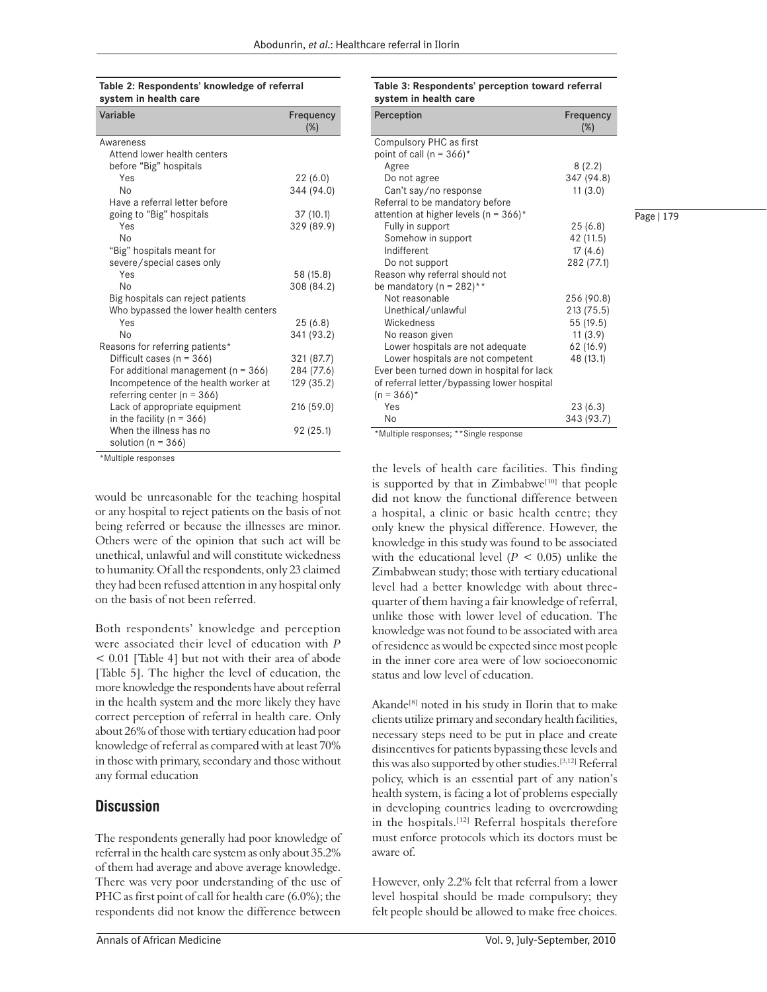| Table 2: Respondents' knowledge of referral |  |
|---------------------------------------------|--|
| system in health care                       |  |

| Variable                                                               | Frequency<br>$(\%)$ |
|------------------------------------------------------------------------|---------------------|
| Awareness                                                              |                     |
| Attend lower health centers                                            |                     |
| before "Big" hospitals                                                 |                     |
| Yes                                                                    | 22(6.0)             |
| N٥                                                                     | 344 (94.0)          |
| Have a referral letter before                                          |                     |
| going to "Big" hospitals                                               | 37 (10.1)           |
| Yes                                                                    | 329 (89.9)          |
| Nο                                                                     |                     |
| "Big" hospitals meant for                                              |                     |
| severe/special cases only                                              |                     |
| Yes                                                                    | 58 (15.8)           |
| N٥                                                                     | 308 (84.2)          |
| Big hospitals can reject patients                                      |                     |
| Who bypassed the lower health centers                                  |                     |
| Yes                                                                    | 25(6.8)             |
| Nο                                                                     | 341 (93.2)          |
| Reasons for referring patients*                                        |                     |
| Difficult cases ( $n = 366$ )                                          | 321 (87.7)          |
| For additional management ( $n = 366$ )                                | 284 (77.6)          |
| Incompetence of the health worker at<br>referring center ( $n = 366$ ) | 129 (35.2)          |
| Lack of appropriate equipment<br>in the facility ( $n = 366$ )         | 216 (59.0)          |
| When the illness has no<br>solution ( $n = 366$ )                      | 92 (25.1)           |

\*Multiple responses

would be unreasonable for the teaching hospital or any hospital to reject patients on the basis of not being referred or because the illnesses are minor. Others were of the opinion that such act will be unethical, unlawful and will constitute wickedness to humanity. Of all the respondents, only 23 claimed they had been refused attention in any hospital only on the basis of not been referred.

Both respondents' knowledge and perception were associated their level of education with *P* < 0.01 [Table 4] but not with their area of abode [Table 5]. The higher the level of education, the more knowledge the respondents have about referral in the health system and the more likely they have correct perception of referral in health care. Only about 26% of those with tertiary education had poor knowledge of referral as compared with at least 70% in those with primary, secondary and those without any formal education

# **Discussion**

The respondents generally had poor knowledge of referral in the health care system as only about 35.2% of them had average and above average knowledge. There was very poor understanding of the use of PHC as first point of call for health care (6.0%); the respondents did not know the difference between

| Table 3: Respondents' perception toward referral |                     |            |  |  |  |  |
|--------------------------------------------------|---------------------|------------|--|--|--|--|
| system in health care                            |                     |            |  |  |  |  |
| Perception                                       | Frequency<br>$(\%)$ |            |  |  |  |  |
| Compulsory PHC as first                          |                     |            |  |  |  |  |
| point of call (n = $366$ )*                      |                     |            |  |  |  |  |
| Agree                                            | 8(2.2)              |            |  |  |  |  |
| Do not agree                                     | 347 (94.8)          |            |  |  |  |  |
| Can't say/no response                            | 11(3.0)             |            |  |  |  |  |
| Referral to be mandatory before                  |                     |            |  |  |  |  |
| attention at higher levels (n = $366$ )*         |                     | Page   179 |  |  |  |  |
| Fully in support                                 | 25(6.8)             |            |  |  |  |  |
| Somehow in support                               | 42 (11.5)           |            |  |  |  |  |
| Indifferent                                      | 17(4.6)             |            |  |  |  |  |
| Do not support                                   | 282 (77.1)          |            |  |  |  |  |
| Reason why referral should not                   |                     |            |  |  |  |  |
| be mandatory (n = 282)**                         |                     |            |  |  |  |  |
| Not reasonable                                   | 256 (90.8)          |            |  |  |  |  |
| Unethical/unlawful                               | 213 (75.5)          |            |  |  |  |  |
| Wickedness                                       | 55 (19.5)           |            |  |  |  |  |
| No reason given                                  | 11(3.9)             |            |  |  |  |  |
| Lower hospitals are not adequate                 | 62 (16.9)           |            |  |  |  |  |
| Lower hospitals are not competent                | 48 (13.1)           |            |  |  |  |  |
| Ever been turned down in hospital for lack       |                     |            |  |  |  |  |
| of referral letter/bypassing lower hospital      |                     |            |  |  |  |  |
| $(n = 366)^*$                                    |                     |            |  |  |  |  |
| Yes                                              | 23(6.3)             |            |  |  |  |  |
| No                                               | 343 (93.7)          |            |  |  |  |  |
| <b>ARR 105 11</b><br>$+ + -$                     |                     |            |  |  |  |  |

\*Multiple responses; \*\*Single response

the levels of health care facilities. This finding is supported by that in Zimbabwe<sup>[10]</sup> that people did not know the functional difference between a hospital, a clinic or basic health centre; they only knew the physical difference. However, the knowledge in this study was found to be associated with the educational level  $(P < 0.05)$  unlike the Zimbabwean study; those with tertiary educational level had a better knowledge with about threequarter of them having a fair knowledge of referral, unlike those with lower level of education. The knowledge was not found to be associated with area of residence as would be expected since most people in the inner core area were of low socioeconomic status and low level of education.

Akande[8] noted in his study in Ilorin that to make clients utilize primary and secondary health facilities, necessary steps need to be put in place and create disincentives for patients bypassing these levels and this was also supported by other studies.<sup>[3,12]</sup> Referral policy, which is an essential part of any nation's health system, is facing a lot of problems especially in developing countries leading to overcrowding in the hospitals.[12] Referral hospitals therefore must enforce protocols which its doctors must be aware of.

However, only 2.2% felt that referral from a lower level hospital should be made compulsory; they felt people should be allowed to make free choices.